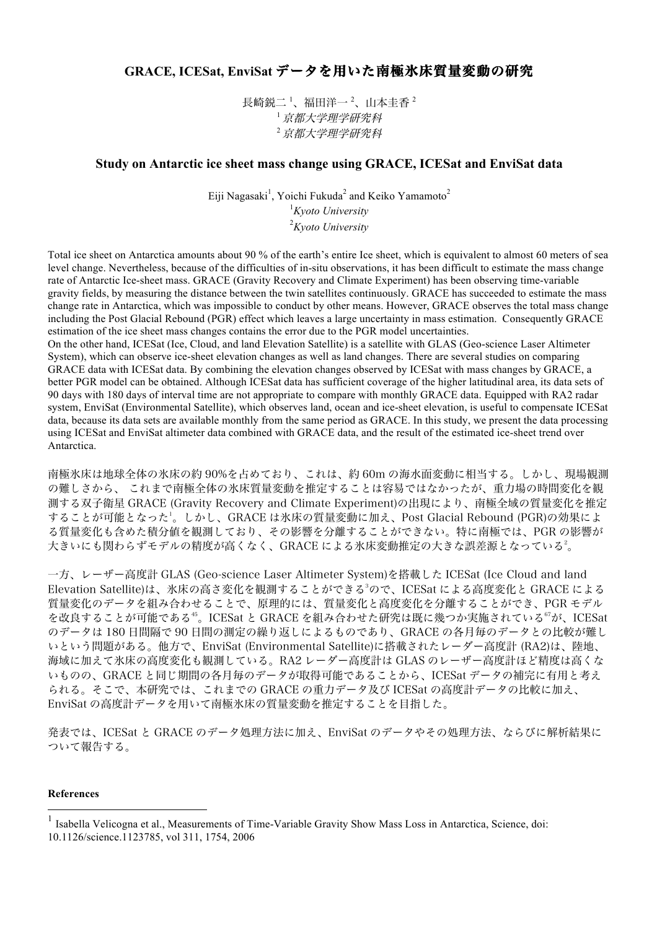## **GRACE, ICESat, EnviSat** データを用いた南極氷床質量変動の研究

長崎鋭二  $^1$ 、福田洋一  $^2$ 、山本圭香  $^2$ <sup>1</sup>京都大学理学研究科 <sup>2</sup>京都大学理学研究科

## **Study on Antarctic ice sheet mass change using GRACE, ICESat and EnviSat data**

Eiji Nagasaki<sup>1</sup>, Yoichi Fukuda<sup>2</sup> and Keiko Yamamoto<sup>2</sup>

1 *Kyoto University* 2 *Kyoto University*

Total ice sheet on Antarctica amounts about 90 % of the earth's entire Ice sheet, which is equivalent to almost 60 meters of sea level change. Nevertheless, because of the difficulties of in-situ observations, it has been difficult to estimate the mass change rate of Antarctic Ice-sheet mass. GRACE (Gravity Recovery and Climate Experiment) has been observing time-variable gravity fields, by measuring the distance between the twin satellites continuously. GRACE has succeeded to estimate the mass change rate in Antarctica, which was impossible to conduct by other means. However, GRACE observes the total mass change including the Post Glacial Rebound (PGR) effect which leaves a large uncertainty in mass estimation. Consequently GRACE estimation of the ice sheet mass changes contains the error due to the PGR model uncertainties.

On the other hand, ICESat (Ice, Cloud, and land Elevation Satellite) is a satellite with GLAS (Geo-science Laser Altimeter System), which can observe ice-sheet elevation changes as well as land changes. There are several studies on comparing GRACE data with ICESat data. By combining the elevation changes observed by ICESat with mass changes by GRACE, a better PGR model can be obtained. Although ICESat data has sufficient coverage of the higher latitudinal area, its data sets of 90 days with 180 days of interval time are not appropriate to compare with monthly GRACE data. Equipped with RA2 radar system, EnviSat (Environmental Satellite), which observes land, ocean and ice-sheet elevation, is useful to compensate ICESat data, because its data sets are available monthly from the same period as GRACE. In this study, we present the data processing using ICESat and EnviSat altimeter data combined with GRACE data, and the result of the estimated ice-sheet trend over Antarctica.

南極氷床は地球全体の氷床の約 90%を占めており、これは、約 60m の海水面変動に相当する。しかし、現場観測 の難しさから、 これまで南極全体の氷床質量変動を推定することは容易ではなかったが、重力場の時間変化を観 測する双子衛星 GRACE (Gravity Recovery and Climate Experiment)の出現により、南極全域の質量変化を推定 することが可能となった'。しかし、GRACE は氷床の質量変動に加え、Post Glacial Rebound (PGR)の効果によ る質量変化も含めた積分値を観測しており、その影響を分離することができない。特に南極では、PGR の影響が 大きいにも関わらずモデルの精度が高くなく、GRACE による氷床変動推定の大きな誤差源となっている<sup>2</sup>。

一方、レーザー高度計 GLAS (Geo-science Laser Altimeter System)を搭載した ICESat (Ice Cloud and land Elevation Satellite)は、氷床の高さ変化を観測することができる<sup>3</sup>ので、ICESat による高度変化と GRACE による 質量変化のデータを組み合わせることで、原理的には、質量変化と高度変化を分離することができ、PGR モデル を改良することが可能である<sup>45</sup>。ICESat と GRACE を組み合わせた研究は既に幾つか実施されている<sup>67</sup>が、ICESat のデータは 180 日間隔で 90 日間の測定の繰り返しによるものであり、GRACE の各月毎のデータとの比較が難し いという問題がある。他方で、EnviSat (Environmental Satellite)に搭載されたレーダー高度計 (RA2)は、陸地、 海域に加えて氷床の高度変化も観測している。RA2 レーダー高度計は GLAS のレーザー高度計ほど精度は高くな いものの、GRACE と同じ期間の各月毎のデータが取得可能であることから、ICESat データの補完に有用と考え られる。そこで、本研究では、これまでの GRACE の重力データ及び ICESat の高度計データの比較に加え、 EnviSat の高度計データを用いて南極氷床の質量変動を推定することを目指した。

発表では、ICESat と GRACE のデータ処理方法に加え、EnviSat のデータやその処理方法、ならびに解析結果に ついて報告する。

## **References**

 <sup>1</sup> Isabella Velicogna et al., Measurements of Time-Variable Gravity Show Mass Loss in Antarctica, Science, doi: 10.1126/science.1123785, vol 311, 1754, 2006